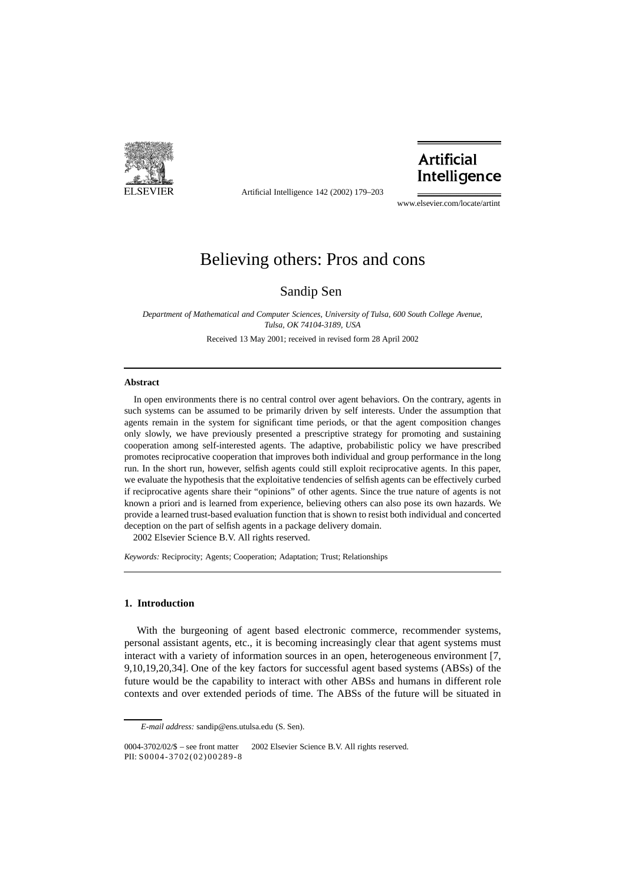

Artificial Intelligence 142 (2002) 179–203



www.elsevier.com/locate/artint

# Believing others: Pros and cons

## Sandip Sen

*Department of Mathematical and Computer Sciences, University of Tulsa, 600 South College Avenue, Tulsa, OK 74104-3189, USA*

Received 13 May 2001; received in revised form 28 April 2002

#### **Abstract**

In open environments there is no central control over agent behaviors. On the contrary, agents in such systems can be assumed to be primarily driven by self interests. Under the assumption that agents remain in the system for significant time periods, or that the agent composition changes only slowly, we have previously presented a prescriptive strategy for promoting and sustaining cooperation among self-interested agents. The adaptive, probabilistic policy we have prescribed promotes reciprocative cooperation that improves both individual and group performance in the long run. In the short run, however, selfish agents could still exploit reciprocative agents. In this paper, we evaluate the hypothesis that the exploitative tendencies of selfish agents can be effectively curbed if reciprocative agents share their "opinions" of other agents. Since the true nature of agents is not known a priori and is learned from experience, believing others can also pose its own hazards. We provide a learned trust-based evaluation function that is shown to resist both individual and concerted deception on the part of selfish agents in a package delivery domain. 2002 Elsevier Science B.V. All rights reserved.

*Keywords:* Reciprocity; Agents; Cooperation; Adaptation; Trust; Relationships

## **1. Introduction**

With the burgeoning of agent based electronic commerce, recommender systems, personal assistant agents, etc., it is becoming increasingly clear that agent systems must interact with a variety of information sources in an open, heterogeneous environment [7, 9,10,19,20,34]. One of the key factors for successful agent based systems (ABSs) of the future would be the capability to interact with other ABSs and humans in different role contexts and over extended periods of time. The ABSs of the future will be situated in

*E-mail address:* sandip@ens.utulsa.edu (S. Sen).

 $0004-3702/02\%$  – see front matter  $\odot$  2002 Elsevier Science B.V. All rights reserved. PII: S0004-3702(02)00289-8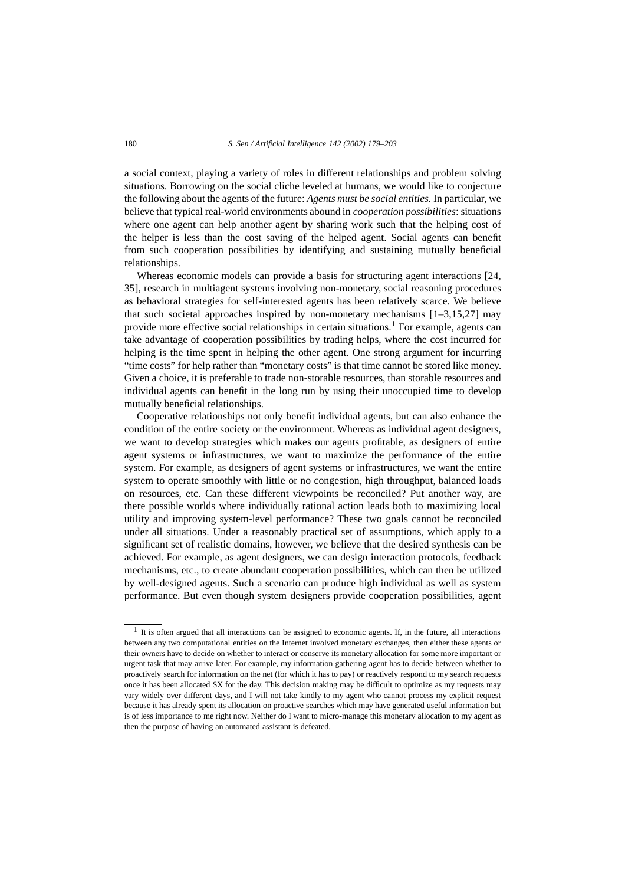a social context, playing a variety of roles in different relationships and problem solving situations. Borrowing on the social cliche leveled at humans, we would like to conjecture the following about the agents of the future: *Agents must be social entities.* In particular, we believe that typical real-world environments abound in *cooperation possibilities*: situations where one agent can help another agent by sharing work such that the helping cost of the helper is less than the cost saving of the helped agent. Social agents can benefit from such cooperation possibilities by identifying and sustaining mutually beneficial relationships.

Whereas economic models can provide a basis for structuring agent interactions [24, 35], research in multiagent systems involving non-monetary, social reasoning procedures as behavioral strategies for self-interested agents has been relatively scarce. We believe that such societal approaches inspired by non-monetary mechanisms [1–3,15,27] may provide more effective social relationships in certain situations.<sup>1</sup> For example, agents can take advantage of cooperation possibilities by trading helps, where the cost incurred for helping is the time spent in helping the other agent. One strong argument for incurring "time costs" for help rather than "monetary costs" is that time cannot be stored like money. Given a choice, it is preferable to trade non-storable resources, than storable resources and individual agents can benefit in the long run by using their unoccupied time to develop mutually beneficial relationships.

Cooperative relationships not only benefit individual agents, but can also enhance the condition of the entire society or the environment. Whereas as individual agent designers, we want to develop strategies which makes our agents profitable, as designers of entire agent systems or infrastructures, we want to maximize the performance of the entire system. For example, as designers of agent systems or infrastructures, we want the entire system to operate smoothly with little or no congestion, high throughput, balanced loads on resources, etc. Can these different viewpoints be reconciled? Put another way, are there possible worlds where individually rational action leads both to maximizing local utility and improving system-level performance? These two goals cannot be reconciled under all situations. Under a reasonably practical set of assumptions, which apply to a significant set of realistic domains, however, we believe that the desired synthesis can be achieved. For example, as agent designers, we can design interaction protocols, feedback mechanisms, etc., to create abundant cooperation possibilities, which can then be utilized by well-designed agents. Such a scenario can produce high individual as well as system performance. But even though system designers provide cooperation possibilities, agent

 $<sup>1</sup>$  It is often argued that all interactions can be assigned to economic agents. If, in the future, all interactions</sup> between any two computational entities on the Internet involved monetary exchanges, then either these agents or their owners have to decide on whether to interact or conserve its monetary allocation for some more important or urgent task that may arrive later. For example, my information gathering agent has to decide between whether to proactively search for information on the net (for which it has to pay) or reactively respond to my search requests once it has been allocated \$X for the day. This decision making may be difficult to optimize as my requests may vary widely over different days, and I will not take kindly to my agent who cannot process my explicit request because it has already spent its allocation on proactive searches which may have generated useful information but is of less importance to me right now. Neither do I want to micro-manage this monetary allocation to my agent as then the purpose of having an automated assistant is defeated.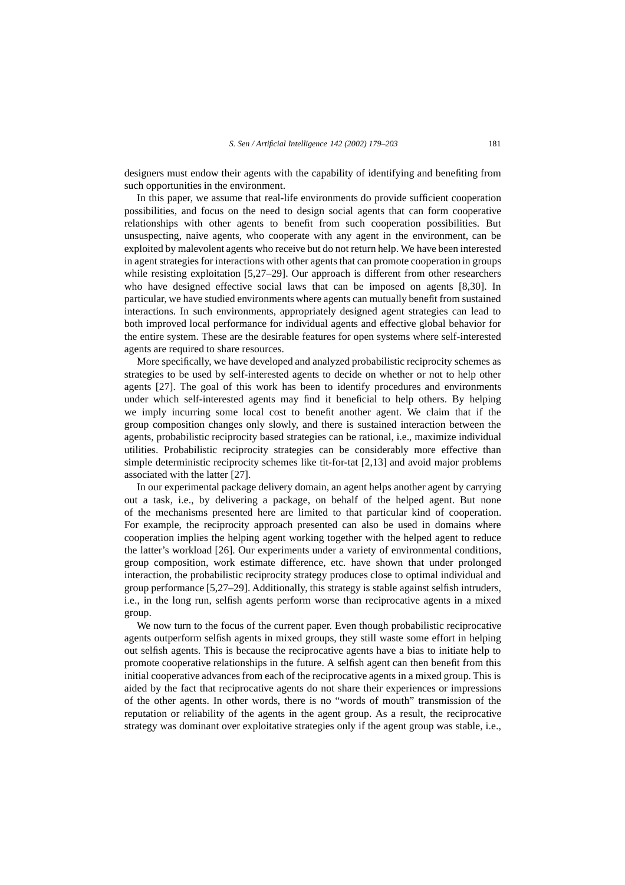designers must endow their agents with the capability of identifying and benefiting from such opportunities in the environment.

In this paper, we assume that real-life environments do provide sufficient cooperation possibilities, and focus on the need to design social agents that can form cooperative relationships with other agents to benefit from such cooperation possibilities. But unsuspecting, naive agents, who cooperate with any agent in the environment, can be exploited by malevolent agents who receive but do not return help. We have been interested in agent strategies for interactions with other agents that can promote cooperation in groups while resisting exploitation [5,27–29]. Our approach is different from other researchers who have designed effective social laws that can be imposed on agents [8,30]. In particular, we have studied environments where agents can mutually benefit from sustained interactions. In such environments, appropriately designed agent strategies can lead to both improved local performance for individual agents and effective global behavior for the entire system. These are the desirable features for open systems where self-interested agents are required to share resources.

More specifically, we have developed and analyzed probabilistic reciprocity schemes as strategies to be used by self-interested agents to decide on whether or not to help other agents [27]. The goal of this work has been to identify procedures and environments under which self-interested agents may find it beneficial to help others. By helping we imply incurring some local cost to benefit another agent. We claim that if the group composition changes only slowly, and there is sustained interaction between the agents, probabilistic reciprocity based strategies can be rational, i.e., maximize individual utilities. Probabilistic reciprocity strategies can be considerably more effective than simple deterministic reciprocity schemes like tit-for-tat [2,13] and avoid major problems associated with the latter [27].

In our experimental package delivery domain, an agent helps another agent by carrying out a task, i.e., by delivering a package, on behalf of the helped agent. But none of the mechanisms presented here are limited to that particular kind of cooperation. For example, the reciprocity approach presented can also be used in domains where cooperation implies the helping agent working together with the helped agent to reduce the latter's workload [26]. Our experiments under a variety of environmental conditions, group composition, work estimate difference, etc. have shown that under prolonged interaction, the probabilistic reciprocity strategy produces close to optimal individual and group performance [5,27–29]. Additionally, this strategy is stable against selfish intruders, i.e., in the long run, selfish agents perform worse than reciprocative agents in a mixed group.

We now turn to the focus of the current paper. Even though probabilistic reciprocative agents outperform selfish agents in mixed groups, they still waste some effort in helping out selfish agents. This is because the reciprocative agents have a bias to initiate help to promote cooperative relationships in the future. A selfish agent can then benefit from this initial cooperative advances from each of the reciprocative agents in a mixed group. This is aided by the fact that reciprocative agents do not share their experiences or impressions of the other agents. In other words, there is no "words of mouth" transmission of the reputation or reliability of the agents in the agent group. As a result, the reciprocative strategy was dominant over exploitative strategies only if the agent group was stable, i.e.,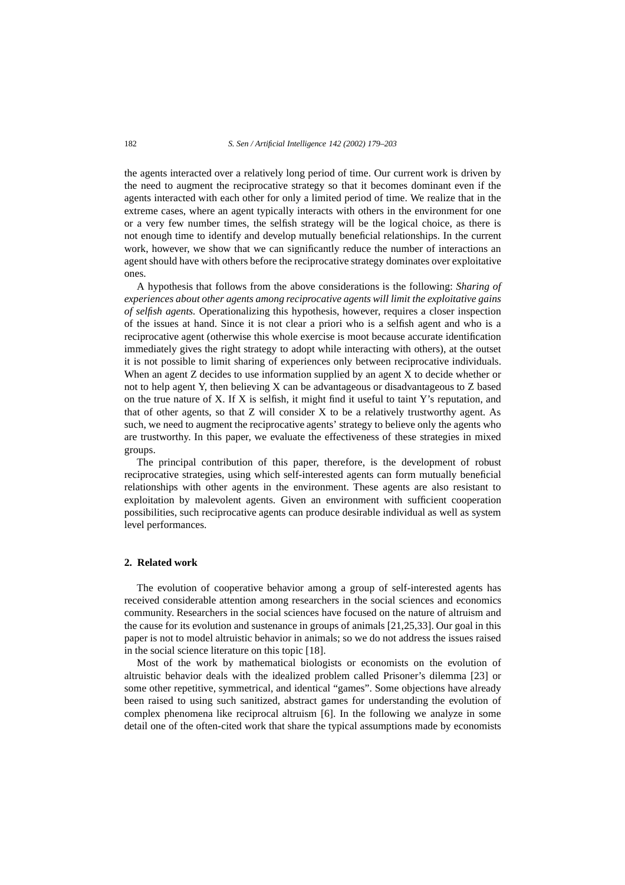the agents interacted over a relatively long period of time. Our current work is driven by the need to augment the reciprocative strategy so that it becomes dominant even if the agents interacted with each other for only a limited period of time. We realize that in the extreme cases, where an agent typically interacts with others in the environment for one or a very few number times, the selfish strategy will be the logical choice, as there is not enough time to identify and develop mutually beneficial relationships. In the current work, however, we show that we can significantly reduce the number of interactions an agent should have with others before the reciprocative strategy dominates over exploitative ones.

A hypothesis that follows from the above considerations is the following: *Sharing of experiences about other agents among reciprocative agents will limit the exploitative gains of selfish agents.* Operationalizing this hypothesis, however, requires a closer inspection of the issues at hand. Since it is not clear a priori who is a selfish agent and who is a reciprocative agent (otherwise this whole exercise is moot because accurate identification immediately gives the right strategy to adopt while interacting with others), at the outset it is not possible to limit sharing of experiences only between reciprocative individuals. When an agent Z decides to use information supplied by an agent X to decide whether or not to help agent Y, then believing X can be advantageous or disadvantageous to Z based on the true nature of X. If X is selfish, it might find it useful to taint Y's reputation, and that of other agents, so that Z will consider X to be a relatively trustworthy agent. As such, we need to augment the reciprocative agents' strategy to believe only the agents who are trustworthy. In this paper, we evaluate the effectiveness of these strategies in mixed groups.

The principal contribution of this paper, therefore, is the development of robust reciprocative strategies, using which self-interested agents can form mutually beneficial relationships with other agents in the environment. These agents are also resistant to exploitation by malevolent agents. Given an environment with sufficient cooperation possibilities, such reciprocative agents can produce desirable individual as well as system level performances.

## **2. Related work**

The evolution of cooperative behavior among a group of self-interested agents has received considerable attention among researchers in the social sciences and economics community. Researchers in the social sciences have focused on the nature of altruism and the cause for its evolution and sustenance in groups of animals [21,25,33]. Our goal in this paper is not to model altruistic behavior in animals; so we do not address the issues raised in the social science literature on this topic [18].

Most of the work by mathematical biologists or economists on the evolution of altruistic behavior deals with the idealized problem called Prisoner's dilemma [23] or some other repetitive, symmetrical, and identical "games". Some objections have already been raised to using such sanitized, abstract games for understanding the evolution of complex phenomena like reciprocal altruism [6]. In the following we analyze in some detail one of the often-cited work that share the typical assumptions made by economists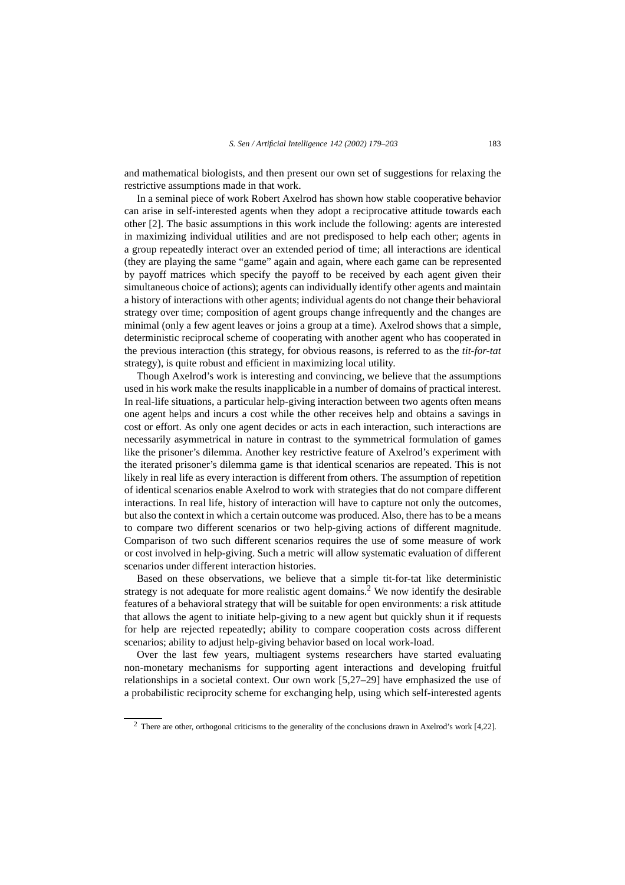and mathematical biologists, and then present our own set of suggestions for relaxing the restrictive assumptions made in that work.

In a seminal piece of work Robert Axelrod has shown how stable cooperative behavior can arise in self-interested agents when they adopt a reciprocative attitude towards each other [2]. The basic assumptions in this work include the following: agents are interested in maximizing individual utilities and are not predisposed to help each other; agents in a group repeatedly interact over an extended period of time; all interactions are identical (they are playing the same "game" again and again, where each game can be represented by payoff matrices which specify the payoff to be received by each agent given their simultaneous choice of actions); agents can individually identify other agents and maintain a history of interactions with other agents; individual agents do not change their behavioral strategy over time; composition of agent groups change infrequently and the changes are minimal (only a few agent leaves or joins a group at a time). Axelrod shows that a simple, deterministic reciprocal scheme of cooperating with another agent who has cooperated in the previous interaction (this strategy, for obvious reasons, is referred to as the *tit-for-tat* strategy), is quite robust and efficient in maximizing local utility.

Though Axelrod's work is interesting and convincing, we believe that the assumptions used in his work make the results inapplicable in a number of domains of practical interest. In real-life situations, a particular help-giving interaction between two agents often means one agent helps and incurs a cost while the other receives help and obtains a savings in cost or effort. As only one agent decides or acts in each interaction, such interactions are necessarily asymmetrical in nature in contrast to the symmetrical formulation of games like the prisoner's dilemma. Another key restrictive feature of Axelrod's experiment with the iterated prisoner's dilemma game is that identical scenarios are repeated. This is not likely in real life as every interaction is different from others. The assumption of repetition of identical scenarios enable Axelrod to work with strategies that do not compare different interactions. In real life, history of interaction will have to capture not only the outcomes, but also the context in which a certain outcome was produced. Also, there has to be a means to compare two different scenarios or two help-giving actions of different magnitude. Comparison of two such different scenarios requires the use of some measure of work or cost involved in help-giving. Such a metric will allow systematic evaluation of different scenarios under different interaction histories.

Based on these observations, we believe that a simple tit-for-tat like deterministic strategy is not adequate for more realistic agent domains.<sup>2</sup> We now identify the desirable features of a behavioral strategy that will be suitable for open environments: a risk attitude that allows the agent to initiate help-giving to a new agent but quickly shun it if requests for help are rejected repeatedly; ability to compare cooperation costs across different scenarios; ability to adjust help-giving behavior based on local work-load.

Over the last few years, multiagent systems researchers have started evaluating non-monetary mechanisms for supporting agent interactions and developing fruitful relationships in a societal context. Our own work [5,27–29] have emphasized the use of a probabilistic reciprocity scheme for exchanging help, using which self-interested agents

<sup>2</sup> There are other, orthogonal criticisms to the generality of the conclusions drawn in Axelrod's work [4,22].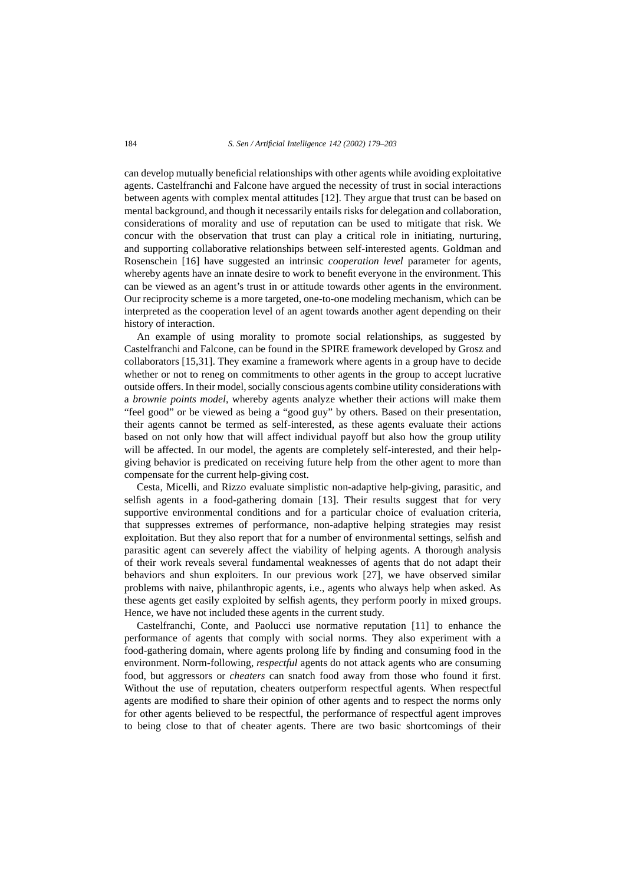can develop mutually beneficial relationships with other agents while avoiding exploitative agents. Castelfranchi and Falcone have argued the necessity of trust in social interactions between agents with complex mental attitudes [12]. They argue that trust can be based on mental background, and though it necessarily entails risks for delegation and collaboration, considerations of morality and use of reputation can be used to mitigate that risk. We concur with the observation that trust can play a critical role in initiating, nurturing, and supporting collaborative relationships between self-interested agents. Goldman and Rosenschein [16] have suggested an intrinsic *cooperation level* parameter for agents, whereby agents have an innate desire to work to benefit everyone in the environment. This can be viewed as an agent's trust in or attitude towards other agents in the environment. Our reciprocity scheme is a more targeted, one-to-one modeling mechanism, which can be interpreted as the cooperation level of an agent towards another agent depending on their history of interaction.

An example of using morality to promote social relationships, as suggested by Castelfranchi and Falcone, can be found in the SPIRE framework developed by Grosz and collaborators [15,31]. They examine a framework where agents in a group have to decide whether or not to reneg on commitments to other agents in the group to accept lucrative outside offers. In their model, socially conscious agents combine utility considerations with a *brownie points model*, whereby agents analyze whether their actions will make them "feel good" or be viewed as being a "good guy" by others. Based on their presentation, their agents cannot be termed as self-interested, as these agents evaluate their actions based on not only how that will affect individual payoff but also how the group utility will be affected. In our model, the agents are completely self-interested, and their helpgiving behavior is predicated on receiving future help from the other agent to more than compensate for the current help-giving cost.

Cesta, Micelli, and Rizzo evaluate simplistic non-adaptive help-giving, parasitic, and selfish agents in a food-gathering domain [13]. Their results suggest that for very supportive environmental conditions and for a particular choice of evaluation criteria, that suppresses extremes of performance, non-adaptive helping strategies may resist exploitation. But they also report that for a number of environmental settings, selfish and parasitic agent can severely affect the viability of helping agents. A thorough analysis of their work reveals several fundamental weaknesses of agents that do not adapt their behaviors and shun exploiters. In our previous work [27], we have observed similar problems with naive, philanthropic agents, i.e., agents who always help when asked. As these agents get easily exploited by selfish agents, they perform poorly in mixed groups. Hence, we have not included these agents in the current study.

Castelfranchi, Conte, and Paolucci use normative reputation [11] to enhance the performance of agents that comply with social norms. They also experiment with a food-gathering domain, where agents prolong life by finding and consuming food in the environment. Norm-following, *respectful* agents do not attack agents who are consuming food, but aggressors or *cheaters* can snatch food away from those who found it first. Without the use of reputation, cheaters outperform respectful agents. When respectful agents are modified to share their opinion of other agents and to respect the norms only for other agents believed to be respectful, the performance of respectful agent improves to being close to that of cheater agents. There are two basic shortcomings of their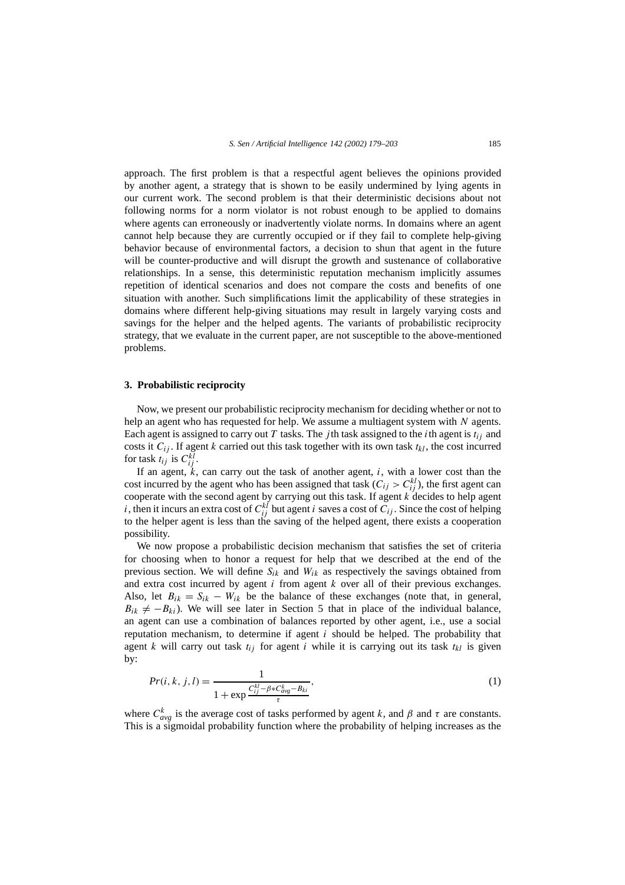approach. The first problem is that a respectful agent believes the opinions provided by another agent, a strategy that is shown to be easily undermined by lying agents in our current work. The second problem is that their deterministic decisions about not following norms for a norm violator is not robust enough to be applied to domains where agents can erroneously or inadvertently violate norms. In domains where an agent cannot help because they are currently occupied or if they fail to complete help-giving behavior because of environmental factors, a decision to shun that agent in the future will be counter-productive and will disrupt the growth and sustenance of collaborative relationships. In a sense, this deterministic reputation mechanism implicitly assumes repetition of identical scenarios and does not compare the costs and benefits of one situation with another. Such simplifications limit the applicability of these strategies in domains where different help-giving situations may result in largely varying costs and savings for the helper and the helped agents. The variants of probabilistic reciprocity strategy, that we evaluate in the current paper, are not susceptible to the above-mentioned problems.

#### **3. Probabilistic reciprocity**

Now, we present our probabilistic reciprocity mechanism for deciding whether or not to help an agent who has requested for help. We assume a multiagent system with *N* agents. Each agent is assigned to carry out *T* tasks. The *j*th task assigned to the *i*th agent is  $t_{ij}$  and costs it  $C_{ij}$ . If agent *k* carried out this task together with its own task  $t_{kl}$ , the cost incurred for task  $t_{ij}$  is  $C_{ij}^{kl}$ .

If an agent,  $\dot{k}$ , can carry out the task of another agent,  $i$ , with a lower cost than the cost incurred by the agent who has been assigned that task  $(C_{ij} > C_{ij}^{kl})$ , the first agent can cooperate with the second agent by carrying out this task. If agent *k* decides to help agent *i*, then it incurs an extra cost of  $C_{ij}^{kl}$  but agent *i* saves a cost of  $C_{ij}$ . Since the cost of helping to the helper agent is less than the saving of the helped agent, there exists a cooperation possibility.

We now propose a probabilistic decision mechanism that satisfies the set of criteria for choosing when to honor a request for help that we described at the end of the previous section. We will define  $S_{ik}$  and  $W_{ik}$  as respectively the savings obtained from and extra cost incurred by agent *i* from agent *k* over all of their previous exchanges. Also, let  $B_{ik} = S_{ik} - W_{ik}$  be the balance of these exchanges (note that, in general,  $B_{ik} \neq -B_{ki}$ ). We will see later in Section 5 that in place of the individual balance, an agent can use a combination of balances reported by other agent, i.e., use a social reputation mechanism, to determine if agent *i* should be helped. The probability that agent  $k$  will carry out task  $t_{ij}$  for agent  $i$  while it is carrying out its task  $t_{kl}$  is given by:

$$
Pr(i, k, j, l) = \frac{1}{1 + \exp{\frac{C_{ij}^{kl} - \beta * C_{avg}^k - B_{ki}}{\tau}}},
$$
\n(1)

where  $C_{avg}^k$  is the average cost of tasks performed by agent *k*, and  $\beta$  and  $\tau$  are constants. This is a sigmoidal probability function where the probability of helping increases as the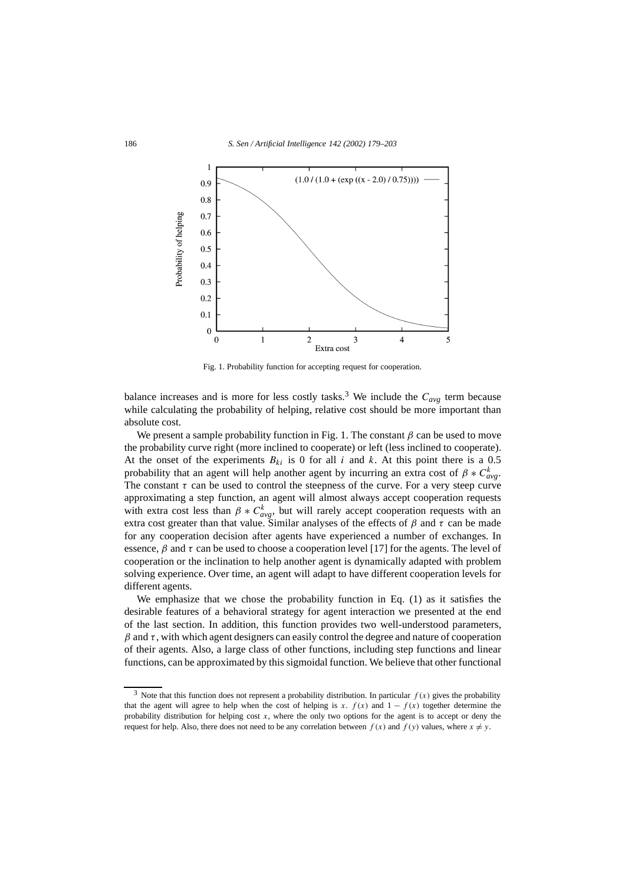

Fig. 1. Probability function for accepting request for cooperation.

balance increases and is more for less costly tasks.<sup>3</sup> We include the  $C_{avg}$  term because while calculating the probability of helping, relative cost should be more important than absolute cost.

We present a sample probability function in Fig. 1. The constant  $\beta$  can be used to move the probability curve right (more inclined to cooperate) or left (less inclined to cooperate). At the onset of the experiments  $B_{ki}$  is 0 for all  $i$  and  $k$ . At this point there is a 0.5 probability that an agent will help another agent by incurring an extra cost of  $\beta * C_{avg}^k$ . The constant  $\tau$  can be used to control the steepness of the curve. For a very steep curve approximating a step function, an agent will almost always accept cooperation requests with extra cost less than  $\beta * C_{avg}^k$ , but will rarely accept cooperation requests with an extra cost greater than that value. Similar analyses of the effects of  $\beta$  and  $\tau$  can be made for any cooperation decision after agents have experienced a number of exchanges. In essence, *β* and *τ* can be used to choose a cooperation level [17] for the agents. The level of cooperation or the inclination to help another agent is dynamically adapted with problem solving experience. Over time, an agent will adapt to have different cooperation levels for different agents.

We emphasize that we chose the probability function in Eq. (1) as it satisfies the desirable features of a behavioral strategy for agent interaction we presented at the end of the last section. In addition, this function provides two well-understood parameters, *β* and *τ* , with which agent designers can easily control the degree and nature of cooperation of their agents. Also, a large class of other functions, including step functions and linear functions, can be approximated by this sigmoidal function. We believe that other functional

<sup>&</sup>lt;sup>3</sup> Note that this function does not represent a probability distribution. In particular  $f(x)$  gives the probability that the agent will agree to help when the cost of helping is *x*.  $f(x)$  and  $1 - f(x)$  together determine the probability distribution for helping cost *x*, where the only two options for the agent is to accept or deny the request for help. Also, there does not need to be any correlation between  $f(x)$  and  $f(y)$  values, where  $x \neq y$ .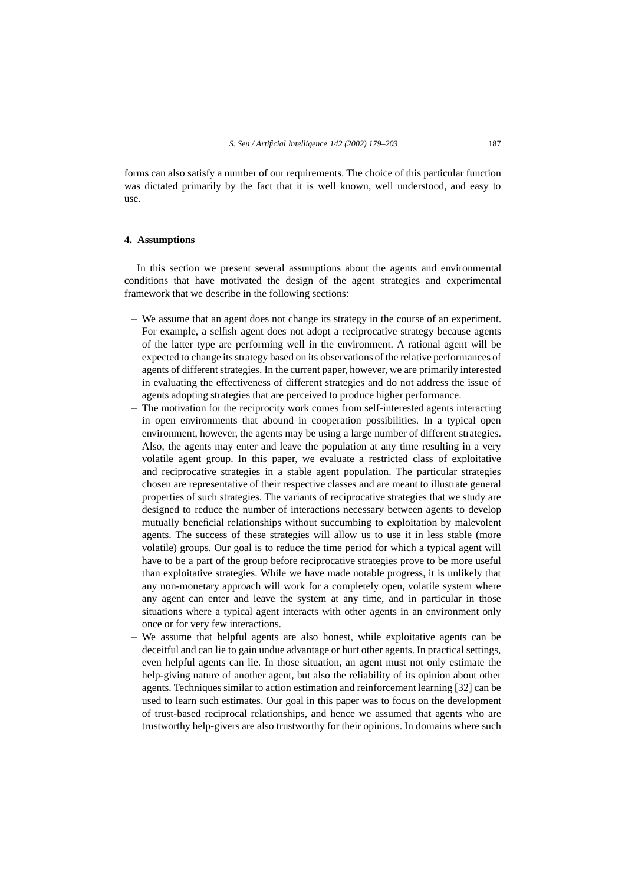forms can also satisfy a number of our requirements. The choice of this particular function was dictated primarily by the fact that it is well known, well understood, and easy to use.

## **4. Assumptions**

In this section we present several assumptions about the agents and environmental conditions that have motivated the design of the agent strategies and experimental framework that we describe in the following sections:

- We assume that an agent does not change its strategy in the course of an experiment. For example, a selfish agent does not adopt a reciprocative strategy because agents of the latter type are performing well in the environment. A rational agent will be expected to change its strategy based on its observations of the relative performances of agents of different strategies. In the current paper, however, we are primarily interested in evaluating the effectiveness of different strategies and do not address the issue of agents adopting strategies that are perceived to produce higher performance.
- The motivation for the reciprocity work comes from self-interested agents interacting in open environments that abound in cooperation possibilities. In a typical open environment, however, the agents may be using a large number of different strategies. Also, the agents may enter and leave the population at any time resulting in a very volatile agent group. In this paper, we evaluate a restricted class of exploitative and reciprocative strategies in a stable agent population. The particular strategies chosen are representative of their respective classes and are meant to illustrate general properties of such strategies. The variants of reciprocative strategies that we study are designed to reduce the number of interactions necessary between agents to develop mutually beneficial relationships without succumbing to exploitation by malevolent agents. The success of these strategies will allow us to use it in less stable (more volatile) groups. Our goal is to reduce the time period for which a typical agent will have to be a part of the group before reciprocative strategies prove to be more useful than exploitative strategies. While we have made notable progress, it is unlikely that any non-monetary approach will work for a completely open, volatile system where any agent can enter and leave the system at any time, and in particular in those situations where a typical agent interacts with other agents in an environment only once or for very few interactions.
- We assume that helpful agents are also honest, while exploitative agents can be deceitful and can lie to gain undue advantage or hurt other agents. In practical settings, even helpful agents can lie. In those situation, an agent must not only estimate the help-giving nature of another agent, but also the reliability of its opinion about other agents. Techniques similar to action estimation and reinforcement learning [32] can be used to learn such estimates. Our goal in this paper was to focus on the development of trust-based reciprocal relationships, and hence we assumed that agents who are trustworthy help-givers are also trustworthy for their opinions. In domains where such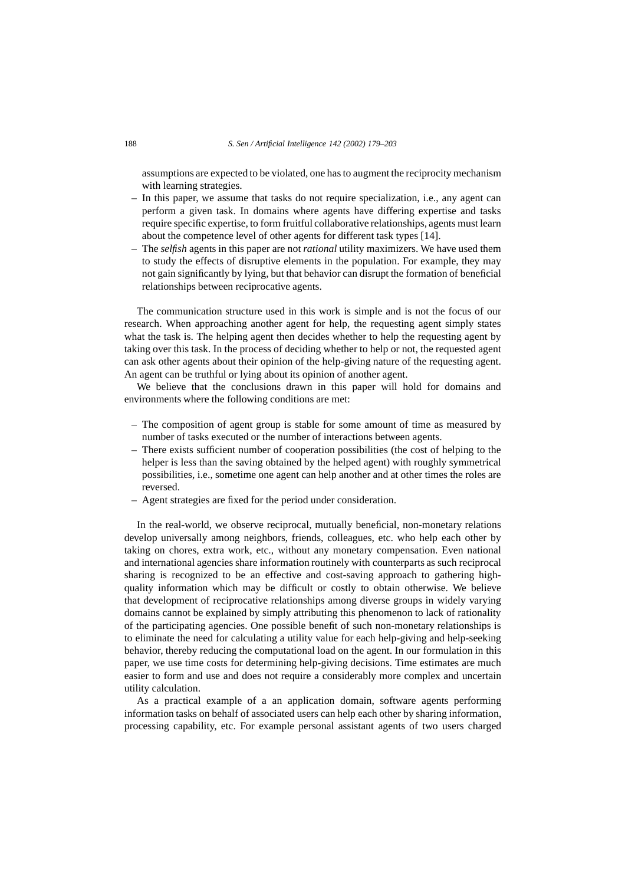assumptions are expected to be violated, one has to augment the reciprocity mechanism with learning strategies.

- In this paper, we assume that tasks do not require specialization, i.e., any agent can perform a given task. In domains where agents have differing expertise and tasks require specific expertise, to form fruitful collaborative relationships, agents must learn about the competence level of other agents for different task types [14].
- The *selfish* agents in this paper are not *rational* utility maximizers. We have used them to study the effects of disruptive elements in the population. For example, they may not gain significantly by lying, but that behavior can disrupt the formation of beneficial relationships between reciprocative agents.

The communication structure used in this work is simple and is not the focus of our research. When approaching another agent for help, the requesting agent simply states what the task is. The helping agent then decides whether to help the requesting agent by taking over this task. In the process of deciding whether to help or not, the requested agent can ask other agents about their opinion of the help-giving nature of the requesting agent. An agent can be truthful or lying about its opinion of another agent.

We believe that the conclusions drawn in this paper will hold for domains and environments where the following conditions are met:

- The composition of agent group is stable for some amount of time as measured by number of tasks executed or the number of interactions between agents.
- There exists sufficient number of cooperation possibilities (the cost of helping to the helper is less than the saving obtained by the helped agent) with roughly symmetrical possibilities, i.e., sometime one agent can help another and at other times the roles are reversed.
- Agent strategies are fixed for the period under consideration.

In the real-world, we observe reciprocal, mutually beneficial, non-monetary relations develop universally among neighbors, friends, colleagues, etc. who help each other by taking on chores, extra work, etc., without any monetary compensation. Even national and international agencies share information routinely with counterparts as such reciprocal sharing is recognized to be an effective and cost-saving approach to gathering highquality information which may be difficult or costly to obtain otherwise. We believe that development of reciprocative relationships among diverse groups in widely varying domains cannot be explained by simply attributing this phenomenon to lack of rationality of the participating agencies. One possible benefit of such non-monetary relationships is to eliminate the need for calculating a utility value for each help-giving and help-seeking behavior, thereby reducing the computational load on the agent. In our formulation in this paper, we use time costs for determining help-giving decisions. Time estimates are much easier to form and use and does not require a considerably more complex and uncertain utility calculation.

As a practical example of a an application domain, software agents performing information tasks on behalf of associated users can help each other by sharing information, processing capability, etc. For example personal assistant agents of two users charged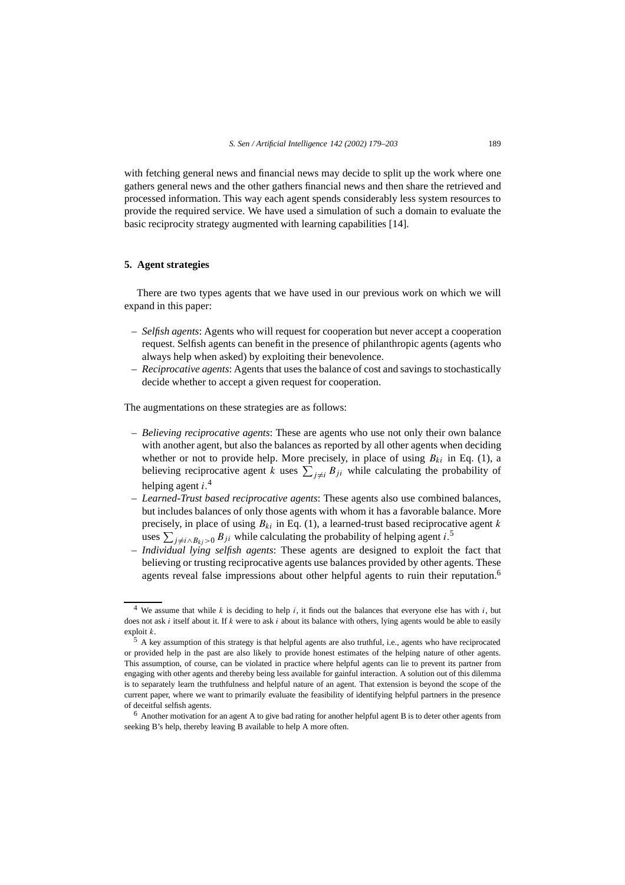with fetching general news and financial news may decide to split up the work where one gathers general news and the other gathers financial news and then share the retrieved and processed information. This way each agent spends considerably less system resources to provide the required service. We have used a simulation of such a domain to evaluate the basic reciprocity strategy augmented with learning capabilities [14].

## **5. Agent strategies**

There are two types agents that we have used in our previous work on which we will expand in this paper:

- *Selfish agents*: Agents who will request for cooperation but never accept a cooperation request. Selfish agents can benefit in the presence of philanthropic agents (agents who always help when asked) by exploiting their benevolence.
- *Reciprocative agents*: Agents that uses the balance of cost and savings to stochastically decide whether to accept a given request for cooperation.

The augmentations on these strategies are as follows:

- *Believing reciprocative agents*: These are agents who use not only their own balance with another agent, but also the balances as reported by all other agents when deciding whether or not to provide help. More precisely, in place of using  $B_{ki}$  in Eq. (1), a believing reciprocative agent *k* uses  $\sum_{j\neq i} B_{ji}$  while calculating the probability of helping agent *i.*<sup>4</sup>
- *Learned-Trust based reciprocative agents*: These agents also use combined balances, but includes balances of only those agents with whom it has a favorable balance. More precisely, in place of using *Bki* in Eq. (1), a learned-trust based reciprocative agent *k* uses  $\sum_{j\neq i \wedge B_{kj} > 0} B_{ji}$  while calculating the probability of helping agent *i.*<sup>5</sup>
- *Individual lying selfish agents*: These agents are designed to exploit the fact that believing or trusting reciprocative agents use balances provided by other agents. These agents reveal false impressions about other helpful agents to ruin their reputation.<sup>6</sup>

 $4$  We assume that while  $k$  is deciding to help  $i$ , it finds out the balances that everyone else has with  $i$ , but does not ask *i* itself about it. If *k* were to ask *i* about its balance with others, lying agents would be able to easily exploit *k*.

<sup>5</sup> A key assumption of this strategy is that helpful agents are also truthful, i.e., agents who have reciprocated or provided help in the past are also likely to provide honest estimates of the helping nature of other agents. This assumption, of course, can be violated in practice where helpful agents can lie to prevent its partner from engaging with other agents and thereby being less available for gainful interaction. A solution out of this dilemma is to separately learn the truthfulness and helpful nature of an agent. That extension is beyond the scope of the current paper, where we want to primarily evaluate the feasibility of identifying helpful partners in the presence of deceitful selfish agents.

<sup>6</sup> Another motivation for an agent A to give bad rating for another helpful agent B is to deter other agents from seeking B's help, thereby leaving B available to help A more often.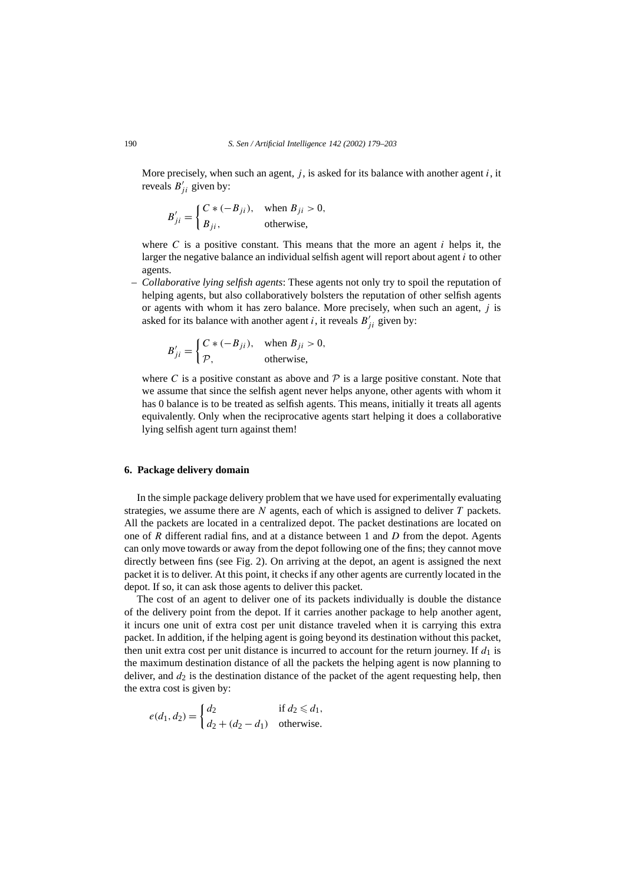More precisely, when such an agent, *j* , is asked for its balance with another agent *i*, it reveals  $B'_{ji}$  given by:

$$
B'_{ji} = \begin{cases} C * (-B_{ji}), & \text{when } B_{ji} > 0, \\ B_{ji}, & \text{otherwise,} \end{cases}
$$

where *C* is a positive constant. This means that the more an agent *i* helps it, the larger the negative balance an individual selfish agent will report about agent *i* to other agents.

– *Collaborative lying selfish agents*: These agents not only try to spoil the reputation of helping agents, but also collaboratively bolsters the reputation of other selfish agents or agents with whom it has zero balance. More precisely, when such an agent, *j* is asked for its balance with another agent *i*, it reveals  $B'_{ji}$  given by:

$$
B'_{ji} = \begin{cases} C * (-B_{ji}), & \text{when } B_{ji} > 0, \\ \mathcal{P}, & \text{otherwise,} \end{cases}
$$

where *C* is a positive constant as above and  $P$  is a large positive constant. Note that we assume that since the selfish agent never helps anyone, other agents with whom it has 0 balance is to be treated as selfish agents. This means, initially it treats all agents equivalently. Only when the reciprocative agents start helping it does a collaborative lying selfish agent turn against them!

#### **6. Package delivery domain**

In the simple package delivery problem that we have used for experimentally evaluating strategies, we assume there are *N* agents, each of which is assigned to deliver *T* packets. All the packets are located in a centralized depot. The packet destinations are located on one of *R* different radial fins, and at a distance between 1 and *D* from the depot. Agents can only move towards or away from the depot following one of the fins; they cannot move directly between fins (see Fig. 2). On arriving at the depot, an agent is assigned the next packet it is to deliver. At this point, it checks if any other agents are currently located in the depot. If so, it can ask those agents to deliver this packet.

The cost of an agent to deliver one of its packets individually is double the distance of the delivery point from the depot. If it carries another package to help another agent, it incurs one unit of extra cost per unit distance traveled when it is carrying this extra packet. In addition, if the helping agent is going beyond its destination without this packet, then unit extra cost per unit distance is incurred to account for the return journey. If  $d_1$  is the maximum destination distance of all the packets the helping agent is now planning to deliver, and  $d_2$  is the destination distance of the packet of the agent requesting help, then the extra cost is given by:

$$
e(d_1, d_2) = \begin{cases} d_2 & \text{if } d_2 \leq d_1, \\ d_2 + (d_2 - d_1) & \text{otherwise.} \end{cases}
$$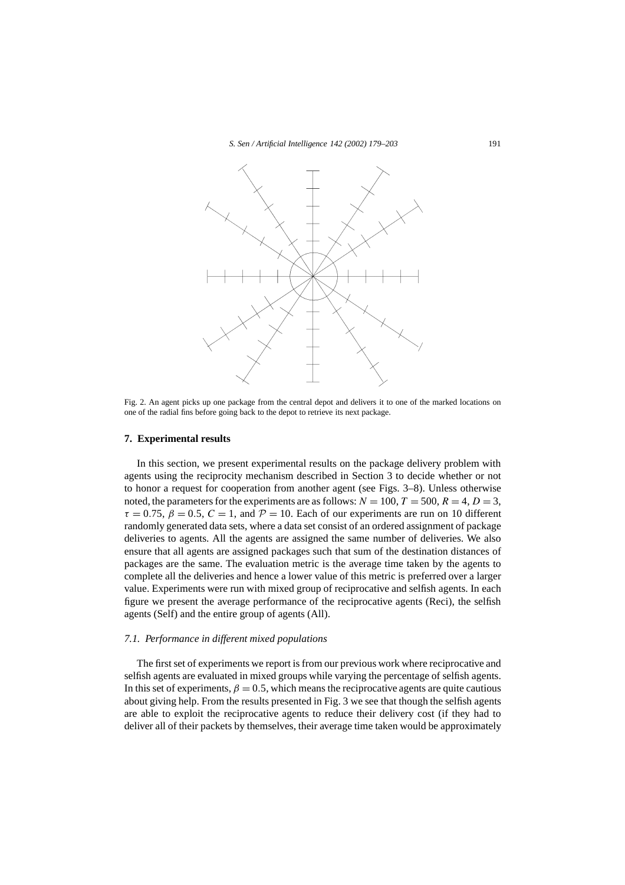

Fig. 2. An agent picks up one package from the central depot and delivers it to one of the marked locations on one of the radial fins before going back to the depot to retrieve its next package.

#### **7. Experimental results**

In this section, we present experimental results on the package delivery problem with agents using the reciprocity mechanism described in Section 3 to decide whether or not to honor a request for cooperation from another agent (see Figs. 3–8). Unless otherwise noted, the parameters for the experiments are as follows:  $N = 100$ ,  $T = 500$ ,  $R = 4$ ,  $D = 3$ ,  $\tau = 0.75$ ,  $\beta = 0.5$ ,  $C = 1$ , and  $\mathcal{P} = 10$ . Each of our experiments are run on 10 different randomly generated data sets, where a data set consist of an ordered assignment of package deliveries to agents. All the agents are assigned the same number of deliveries. We also ensure that all agents are assigned packages such that sum of the destination distances of packages are the same. The evaluation metric is the average time taken by the agents to complete all the deliveries and hence a lower value of this metric is preferred over a larger value. Experiments were run with mixed group of reciprocative and selfish agents. In each figure we present the average performance of the reciprocative agents (Reci), the selfish agents (Self) and the entire group of agents (All).

## *7.1. Performance in different mixed populations*

The first set of experiments we report is from our previous work where reciprocative and selfish agents are evaluated in mixed groups while varying the percentage of selfish agents. In this set of experiments,  $\beta = 0.5$ , which means the reciprocative agents are quite cautious about giving help. From the results presented in Fig. 3 we see that though the selfish agents are able to exploit the reciprocative agents to reduce their delivery cost (if they had to deliver all of their packets by themselves, their average time taken would be approximately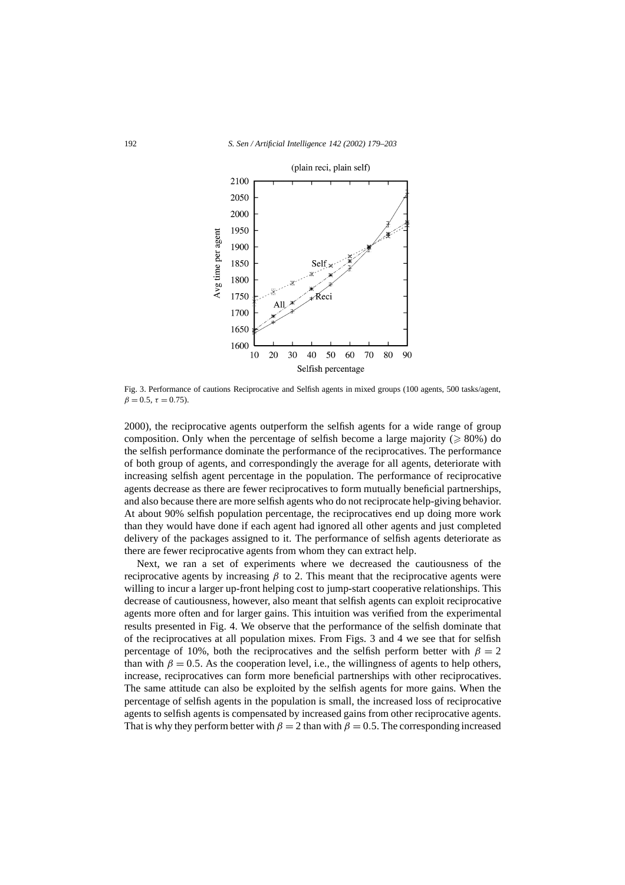

Fig. 3. Performance of cautions Reciprocative and Selfish agents in mixed groups (100 agents, 500 tasks/agent,  $\beta = 0.5$ ,  $\tau = 0.75$ ).

2000), the reciprocative agents outperform the selfish agents for a wide range of group composition. Only when the percentage of selfish become a large majority ( $\geq 80\%$ ) do the selfish performance dominate the performance of the reciprocatives. The performance of both group of agents, and correspondingly the average for all agents, deteriorate with increasing selfish agent percentage in the population. The performance of reciprocative agents decrease as there are fewer reciprocatives to form mutually beneficial partnerships, and also because there are more selfish agents who do not reciprocate help-giving behavior. At about 90% selfish population percentage, the reciprocatives end up doing more work than they would have done if each agent had ignored all other agents and just completed delivery of the packages assigned to it. The performance of selfish agents deteriorate as there are fewer reciprocative agents from whom they can extract help.

Next, we ran a set of experiments where we decreased the cautiousness of the reciprocative agents by increasing *β* to 2. This meant that the reciprocative agents were willing to incur a larger up-front helping cost to jump-start cooperative relationships. This decrease of cautiousness, however, also meant that selfish agents can exploit reciprocative agents more often and for larger gains. This intuition was verified from the experimental results presented in Fig. 4. We observe that the performance of the selfish dominate that of the reciprocatives at all population mixes. From Figs. 3 and 4 we see that for selfish percentage of 10%, both the reciprocatives and the selfish perform better with  $\beta = 2$ than with  $\beta = 0.5$ . As the cooperation level, i.e., the willingness of agents to help others, increase, reciprocatives can form more beneficial partnerships with other reciprocatives. The same attitude can also be exploited by the selfish agents for more gains. When the percentage of selfish agents in the population is small, the increased loss of reciprocative agents to selfish agents is compensated by increased gains from other reciprocative agents. That is why they perform better with  $\beta = 2$  than with  $\beta = 0.5$ . The corresponding increased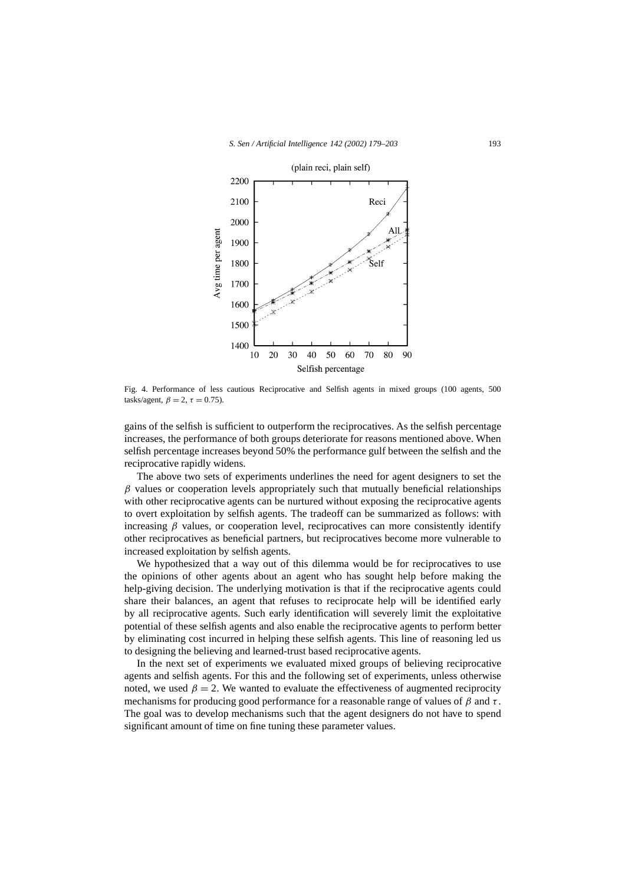

Fig. 4. Performance of less cautious Reciprocative and Selfish agents in mixed groups (100 agents, 500 tasks/agent,  $\beta = 2$ ,  $\tau = 0.75$ ).

gains of the selfish is sufficient to outperform the reciprocatives. As the selfish percentage increases, the performance of both groups deteriorate for reasons mentioned above. When selfish percentage increases beyond 50% the performance gulf between the selfish and the reciprocative rapidly widens.

The above two sets of experiments underlines the need for agent designers to set the  $\beta$  values or cooperation levels appropriately such that mutually beneficial relationships with other reciprocative agents can be nurtured without exposing the reciprocative agents to overt exploitation by selfish agents. The tradeoff can be summarized as follows: with increasing  $\beta$  values, or cooperation level, reciprocatives can more consistently identify other reciprocatives as beneficial partners, but reciprocatives become more vulnerable to increased exploitation by selfish agents.

We hypothesized that a way out of this dilemma would be for reciprocatives to use the opinions of other agents about an agent who has sought help before making the help-giving decision. The underlying motivation is that if the reciprocative agents could share their balances, an agent that refuses to reciprocate help will be identified early by all reciprocative agents. Such early identification will severely limit the exploitative potential of these selfish agents and also enable the reciprocative agents to perform better by eliminating cost incurred in helping these selfish agents. This line of reasoning led us to designing the believing and learned-trust based reciprocative agents.

In the next set of experiments we evaluated mixed groups of believing reciprocative agents and selfish agents. For this and the following set of experiments, unless otherwise noted, we used  $\beta = 2$ . We wanted to evaluate the effectiveness of augmented reciprocity mechanisms for producing good performance for a reasonable range of values of *β* and *τ* . The goal was to develop mechanisms such that the agent designers do not have to spend significant amount of time on fine tuning these parameter values.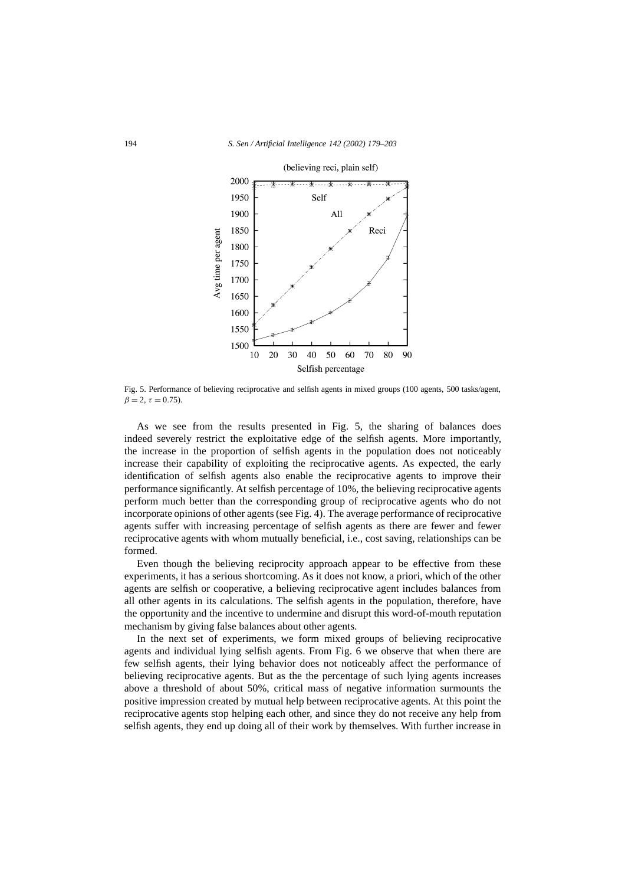

Fig. 5. Performance of believing reciprocative and selfish agents in mixed groups (100 agents, 500 tasks/agent,  $\beta = 2, \tau = 0.75$ .

As we see from the results presented in Fig. 5, the sharing of balances does indeed severely restrict the exploitative edge of the selfish agents. More importantly, the increase in the proportion of selfish agents in the population does not noticeably increase their capability of exploiting the reciprocative agents. As expected, the early identification of selfish agents also enable the reciprocative agents to improve their performance significantly. At selfish percentage of 10%, the believing reciprocative agents perform much better than the corresponding group of reciprocative agents who do not incorporate opinions of other agents (see Fig. 4). The average performance of reciprocative agents suffer with increasing percentage of selfish agents as there are fewer and fewer reciprocative agents with whom mutually beneficial, i.e., cost saving, relationships can be formed.

Even though the believing reciprocity approach appear to be effective from these experiments, it has a serious shortcoming. As it does not know, a priori, which of the other agents are selfish or cooperative, a believing reciprocative agent includes balances from all other agents in its calculations. The selfish agents in the population, therefore, have the opportunity and the incentive to undermine and disrupt this word-of-mouth reputation mechanism by giving false balances about other agents.

In the next set of experiments, we form mixed groups of believing reciprocative agents and individual lying selfish agents. From Fig. 6 we observe that when there are few selfish agents, their lying behavior does not noticeably affect the performance of believing reciprocative agents. But as the the percentage of such lying agents increases above a threshold of about 50%, critical mass of negative information surmounts the positive impression created by mutual help between reciprocative agents. At this point the reciprocative agents stop helping each other, and since they do not receive any help from selfish agents, they end up doing all of their work by themselves. With further increase in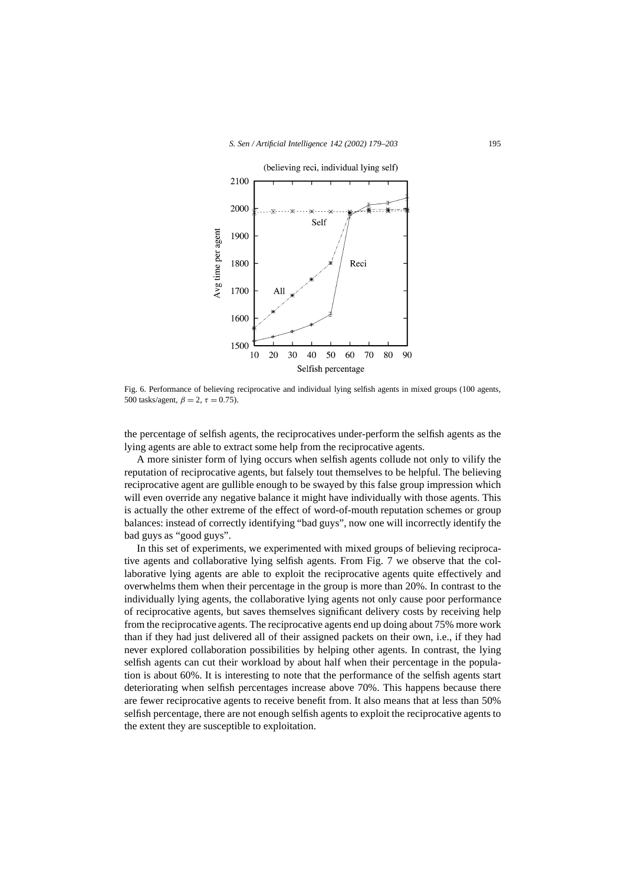

Fig. 6. Performance of believing reciprocative and individual lying selfish agents in mixed groups (100 agents, 500 tasks/agent,  $\beta = 2$ ,  $\tau = 0.75$ ).

the percentage of selfish agents, the reciprocatives under-perform the selfish agents as the lying agents are able to extract some help from the reciprocative agents.

A more sinister form of lying occurs when selfish agents collude not only to vilify the reputation of reciprocative agents, but falsely tout themselves to be helpful. The believing reciprocative agent are gullible enough to be swayed by this false group impression which will even override any negative balance it might have individually with those agents. This is actually the other extreme of the effect of word-of-mouth reputation schemes or group balances: instead of correctly identifying "bad guys", now one will incorrectly identify the bad guys as "good guys".

In this set of experiments, we experimented with mixed groups of believing reciprocative agents and collaborative lying selfish agents. From Fig. 7 we observe that the collaborative lying agents are able to exploit the reciprocative agents quite effectively and overwhelms them when their percentage in the group is more than 20%. In contrast to the individually lying agents, the collaborative lying agents not only cause poor performance of reciprocative agents, but saves themselves significant delivery costs by receiving help from the reciprocative agents. The reciprocative agents end up doing about 75% more work than if they had just delivered all of their assigned packets on their own, i.e., if they had never explored collaboration possibilities by helping other agents. In contrast, the lying selfish agents can cut their workload by about half when their percentage in the population is about 60%. It is interesting to note that the performance of the selfish agents start deteriorating when selfish percentages increase above 70%. This happens because there are fewer reciprocative agents to receive benefit from. It also means that at less than 50% selfish percentage, there are not enough selfish agents to exploit the reciprocative agents to the extent they are susceptible to exploitation.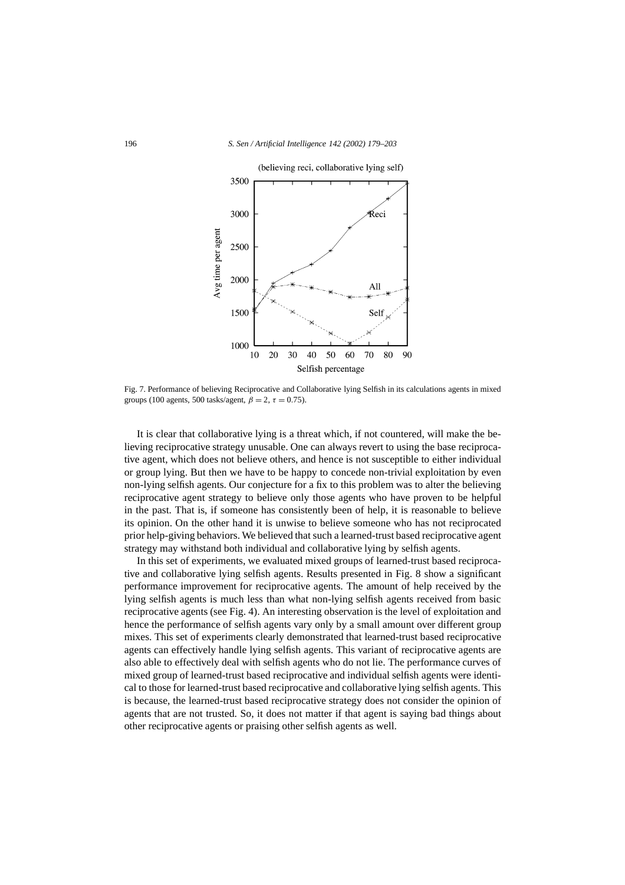

Fig. 7. Performance of believing Reciprocative and Collaborative lying Selfish in its calculations agents in mixed groups (100 agents, 500 tasks/agent,  $\beta = 2$ ,  $\tau = 0.75$ ).

It is clear that collaborative lying is a threat which, if not countered, will make the believing reciprocative strategy unusable. One can always revert to using the base reciprocative agent, which does not believe others, and hence is not susceptible to either individual or group lying. But then we have to be happy to concede non-trivial exploitation by even non-lying selfish agents. Our conjecture for a fix to this problem was to alter the believing reciprocative agent strategy to believe only those agents who have proven to be helpful in the past. That is, if someone has consistently been of help, it is reasonable to believe its opinion. On the other hand it is unwise to believe someone who has not reciprocated prior help-giving behaviors. We believed that such a learned-trust based reciprocative agent strategy may withstand both individual and collaborative lying by selfish agents.

In this set of experiments, we evaluated mixed groups of learned-trust based reciprocative and collaborative lying selfish agents. Results presented in Fig. 8 show a significant performance improvement for reciprocative agents. The amount of help received by the lying selfish agents is much less than what non-lying selfish agents received from basic reciprocative agents (see Fig. 4). An interesting observation is the level of exploitation and hence the performance of selfish agents vary only by a small amount over different group mixes. This set of experiments clearly demonstrated that learned-trust based reciprocative agents can effectively handle lying selfish agents. This variant of reciprocative agents are also able to effectively deal with selfish agents who do not lie. The performance curves of mixed group of learned-trust based reciprocative and individual selfish agents were identical to those for learned-trust based reciprocative and collaborative lying selfish agents. This is because, the learned-trust based reciprocative strategy does not consider the opinion of agents that are not trusted. So, it does not matter if that agent is saying bad things about other reciprocative agents or praising other selfish agents as well.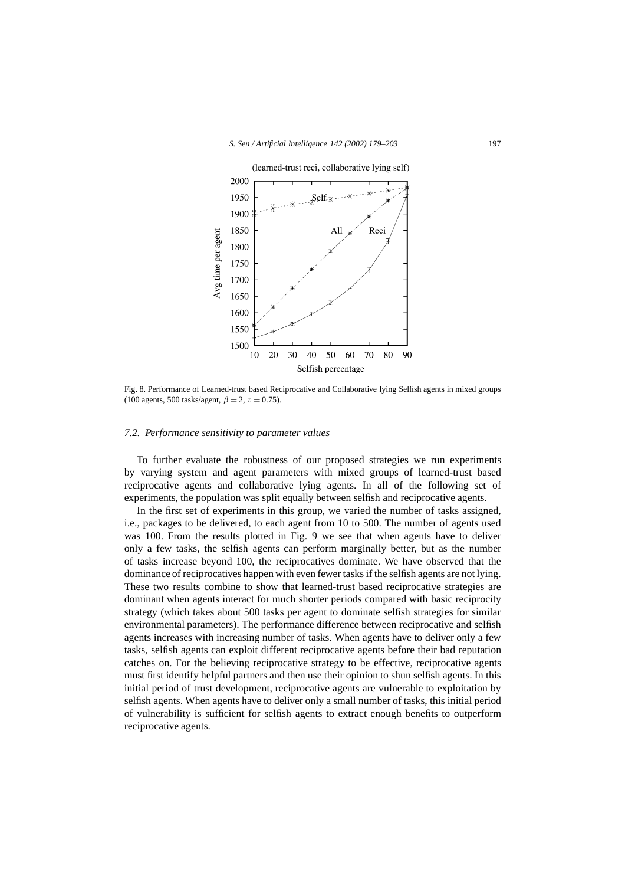

Fig. 8. Performance of Learned-trust based Reciprocative and Collaborative lying Selfish agents in mixed groups (100 agents, 500 tasks/agent,  $\beta = 2$ ,  $\tau = 0.75$ ).

#### *7.2. Performance sensitivity to parameter values*

To further evaluate the robustness of our proposed strategies we run experiments by varying system and agent parameters with mixed groups of learned-trust based reciprocative agents and collaborative lying agents. In all of the following set of experiments, the population was split equally between selfish and reciprocative agents.

In the first set of experiments in this group, we varied the number of tasks assigned, i.e., packages to be delivered, to each agent from 10 to 500. The number of agents used was 100. From the results plotted in Fig. 9 we see that when agents have to deliver only a few tasks, the selfish agents can perform marginally better, but as the number of tasks increase beyond 100, the reciprocatives dominate. We have observed that the dominance of reciprocatives happen with even fewer tasks if the selfish agents are not lying. These two results combine to show that learned-trust based reciprocative strategies are dominant when agents interact for much shorter periods compared with basic reciprocity strategy (which takes about 500 tasks per agent to dominate selfish strategies for similar environmental parameters). The performance difference between reciprocative and selfish agents increases with increasing number of tasks. When agents have to deliver only a few tasks, selfish agents can exploit different reciprocative agents before their bad reputation catches on. For the believing reciprocative strategy to be effective, reciprocative agents must first identify helpful partners and then use their opinion to shun selfish agents. In this initial period of trust development, reciprocative agents are vulnerable to exploitation by selfish agents. When agents have to deliver only a small number of tasks, this initial period of vulnerability is sufficient for selfish agents to extract enough benefits to outperform reciprocative agents.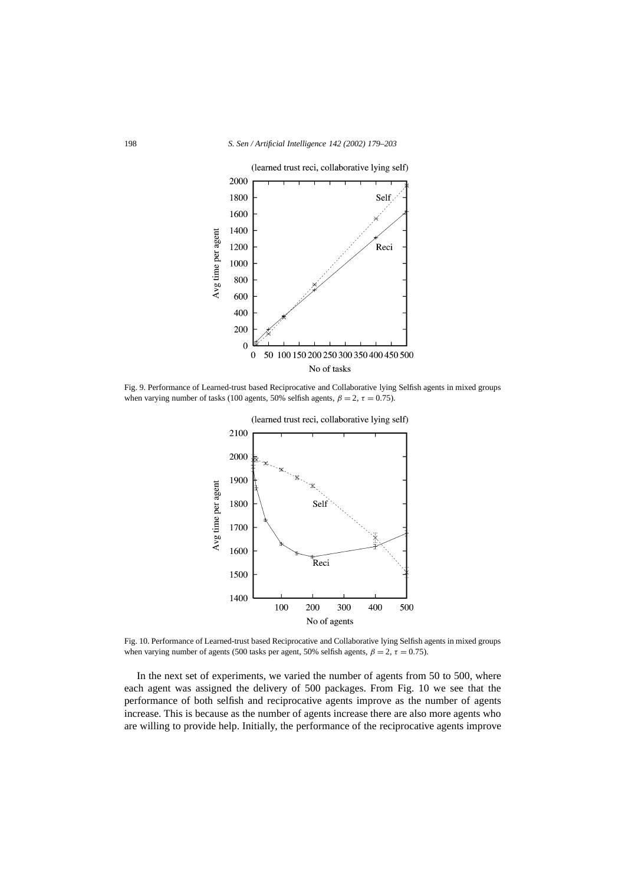

Fig. 9. Performance of Learned-trust based Reciprocative and Collaborative lying Selfish agents in mixed groups when varying number of tasks (100 agents, 50% selfish agents,  $\beta = 2$ ,  $\tau = 0.75$ ).



Fig. 10. Performance of Learned-trust based Reciprocative and Collaborative lying Selfish agents in mixed groups when varying number of agents (500 tasks per agent, 50% selfish agents,  $\beta = 2$ ,  $\tau = 0.75$ ).

In the next set of experiments, we varied the number of agents from 50 to 500, where each agent was assigned the delivery of 500 packages. From Fig. 10 we see that the performance of both selfish and reciprocative agents improve as the number of agents increase. This is because as the number of agents increase there are also more agents who are willing to provide help. Initially, the performance of the reciprocative agents improve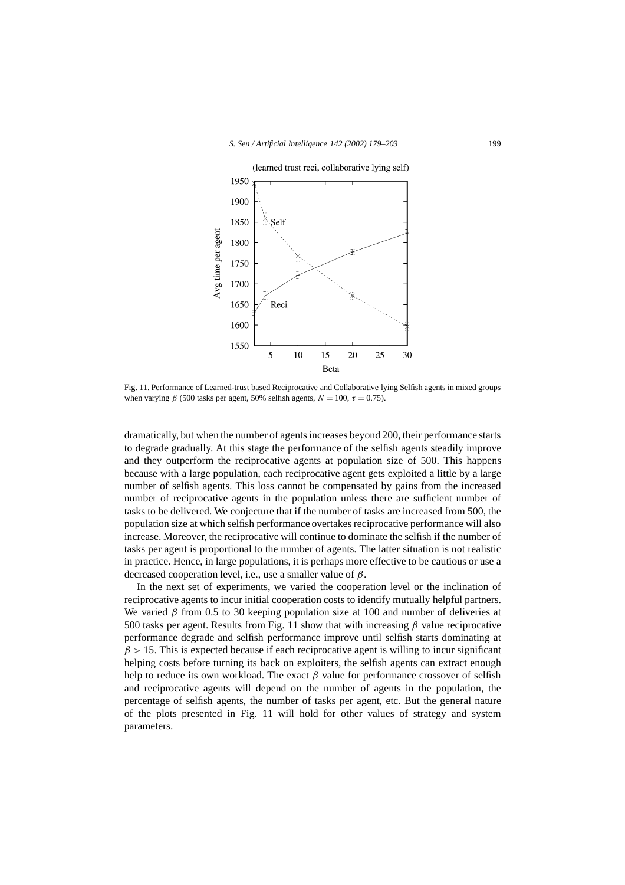

Fig. 11. Performance of Learned-trust based Reciprocative and Collaborative lying Selfish agents in mixed groups when varying  $\beta$  (500 tasks per agent, 50% selfish agents,  $N = 100$ ,  $\tau = 0.75$ ).

dramatically, but when the number of agents increases beyond 200, their performance starts to degrade gradually. At this stage the performance of the selfish agents steadily improve and they outperform the reciprocative agents at population size of 500. This happens because with a large population, each reciprocative agent gets exploited a little by a large number of selfish agents. This loss cannot be compensated by gains from the increased number of reciprocative agents in the population unless there are sufficient number of tasks to be delivered. We conjecture that if the number of tasks are increased from 500, the population size at which selfish performance overtakes reciprocative performance will also increase. Moreover, the reciprocative will continue to dominate the selfish if the number of tasks per agent is proportional to the number of agents. The latter situation is not realistic in practice. Hence, in large populations, it is perhaps more effective to be cautious or use a decreased cooperation level, i.e., use a smaller value of *β*.

In the next set of experiments, we varied the cooperation level or the inclination of reciprocative agents to incur initial cooperation costs to identify mutually helpful partners. We varied *β* from 0.5 to 30 keeping population size at 100 and number of deliveries at 500 tasks per agent. Results from Fig. 11 show that with increasing *β* value reciprocative performance degrade and selfish performance improve until selfish starts dominating at  $\beta$  > 15. This is expected because if each reciprocative agent is willing to incur significant helping costs before turning its back on exploiters, the selfish agents can extract enough help to reduce its own workload. The exact *β* value for performance crossover of selfish and reciprocative agents will depend on the number of agents in the population, the percentage of selfish agents, the number of tasks per agent, etc. But the general nature of the plots presented in Fig. 11 will hold for other values of strategy and system parameters.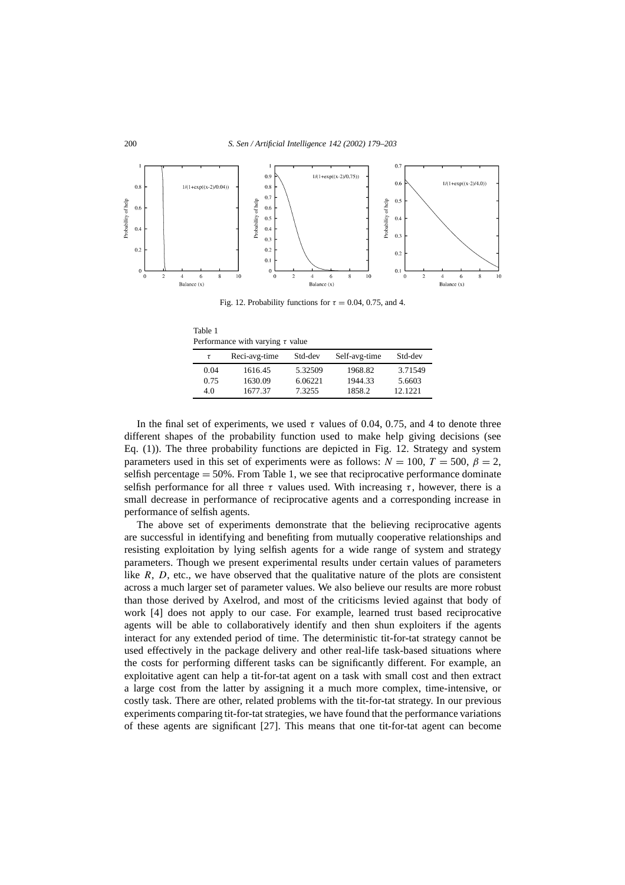

Fig. 12. Probability functions for  $\tau = 0.04, 0.75$ , and 4.

Table 1 Performance with varying *τ* value

| τ    | Reci-avg-time | Std-dev | Self-avg-time | Std-dev |
|------|---------------|---------|---------------|---------|
| 0.04 | 1616.45       | 5.32509 | 1968.82       | 3.71549 |
| 0.75 | 1630.09       | 6.06221 | 1944.33       | 5.6603  |
| 40   | 1677.37       | 7.3255  | 1858.2        | 12 1221 |

In the final set of experiments, we used  $\tau$  values of 0.04, 0.75, and 4 to denote three different shapes of the probability function used to make help giving decisions (see Eq. (1)). The three probability functions are depicted in Fig. 12. Strategy and system parameters used in this set of experiments were as follows:  $N = 100$ ,  $T = 500$ ,  $\beta = 2$ , selfish percentage  $= 50\%$ . From Table 1, we see that reciprocative performance dominate selfish performance for all three  $\tau$  values used. With increasing  $\tau$ , however, there is a small decrease in performance of reciprocative agents and a corresponding increase in performance of selfish agents.

The above set of experiments demonstrate that the believing reciprocative agents are successful in identifying and benefiting from mutually cooperative relationships and resisting exploitation by lying selfish agents for a wide range of system and strategy parameters. Though we present experimental results under certain values of parameters like  $R$ ,  $D$ , etc., we have observed that the qualitative nature of the plots are consistent across a much larger set of parameter values. We also believe our results are more robust than those derived by Axelrod, and most of the criticisms levied against that body of work [4] does not apply to our case. For example, learned trust based reciprocative agents will be able to collaboratively identify and then shun exploiters if the agents interact for any extended period of time. The deterministic tit-for-tat strategy cannot be used effectively in the package delivery and other real-life task-based situations where the costs for performing different tasks can be significantly different. For example, an exploitative agent can help a tit-for-tat agent on a task with small cost and then extract a large cost from the latter by assigning it a much more complex, time-intensive, or costly task. There are other, related problems with the tit-for-tat strategy. In our previous experiments comparing tit-for-tat strategies, we have found that the performance variations of these agents are significant [27]. This means that one tit-for-tat agent can become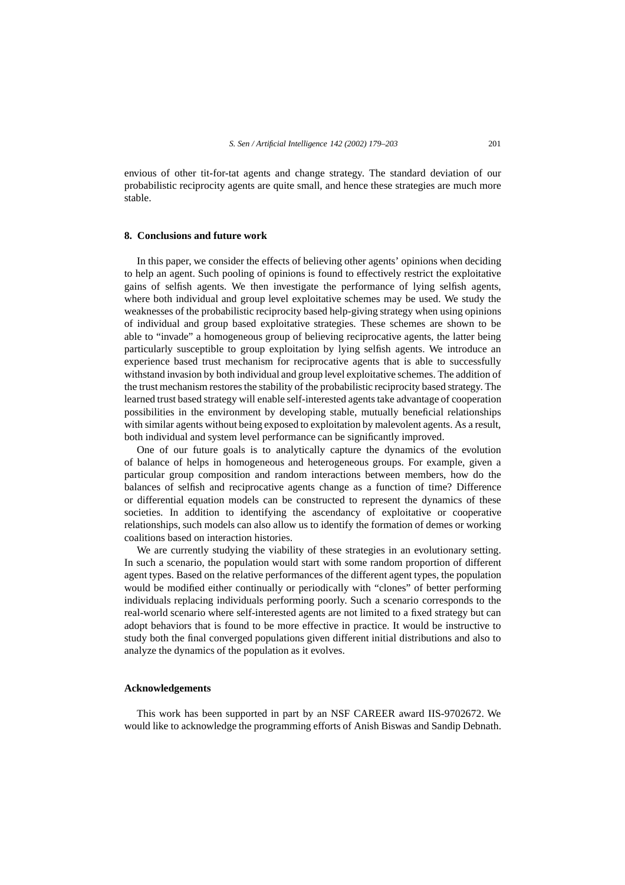envious of other tit-for-tat agents and change strategy. The standard deviation of our probabilistic reciprocity agents are quite small, and hence these strategies are much more stable.

#### **8. Conclusions and future work**

In this paper, we consider the effects of believing other agents' opinions when deciding to help an agent. Such pooling of opinions is found to effectively restrict the exploitative gains of selfish agents. We then investigate the performance of lying selfish agents, where both individual and group level exploitative schemes may be used. We study the weaknesses of the probabilistic reciprocity based help-giving strategy when using opinions of individual and group based exploitative strategies. These schemes are shown to be able to "invade" a homogeneous group of believing reciprocative agents, the latter being particularly susceptible to group exploitation by lying selfish agents. We introduce an experience based trust mechanism for reciprocative agents that is able to successfully withstand invasion by both individual and group level exploitative schemes. The addition of the trust mechanism restores the stability of the probabilistic reciprocity based strategy. The learned trust based strategy will enable self-interested agents take advantage of cooperation possibilities in the environment by developing stable, mutually beneficial relationships with similar agents without being exposed to exploitation by malevolent agents. As a result, both individual and system level performance can be significantly improved.

One of our future goals is to analytically capture the dynamics of the evolution of balance of helps in homogeneous and heterogeneous groups. For example, given a particular group composition and random interactions between members, how do the balances of selfish and reciprocative agents change as a function of time? Difference or differential equation models can be constructed to represent the dynamics of these societies. In addition to identifying the ascendancy of exploitative or cooperative relationships, such models can also allow us to identify the formation of demes or working coalitions based on interaction histories.

We are currently studying the viability of these strategies in an evolutionary setting. In such a scenario, the population would start with some random proportion of different agent types. Based on the relative performances of the different agent types, the population would be modified either continually or periodically with "clones" of better performing individuals replacing individuals performing poorly. Such a scenario corresponds to the real-world scenario where self-interested agents are not limited to a fixed strategy but can adopt behaviors that is found to be more effective in practice. It would be instructive to study both the final converged populations given different initial distributions and also to analyze the dynamics of the population as it evolves.

#### **Acknowledgements**

This work has been supported in part by an NSF CAREER award IIS-9702672. We would like to acknowledge the programming efforts of Anish Biswas and Sandip Debnath.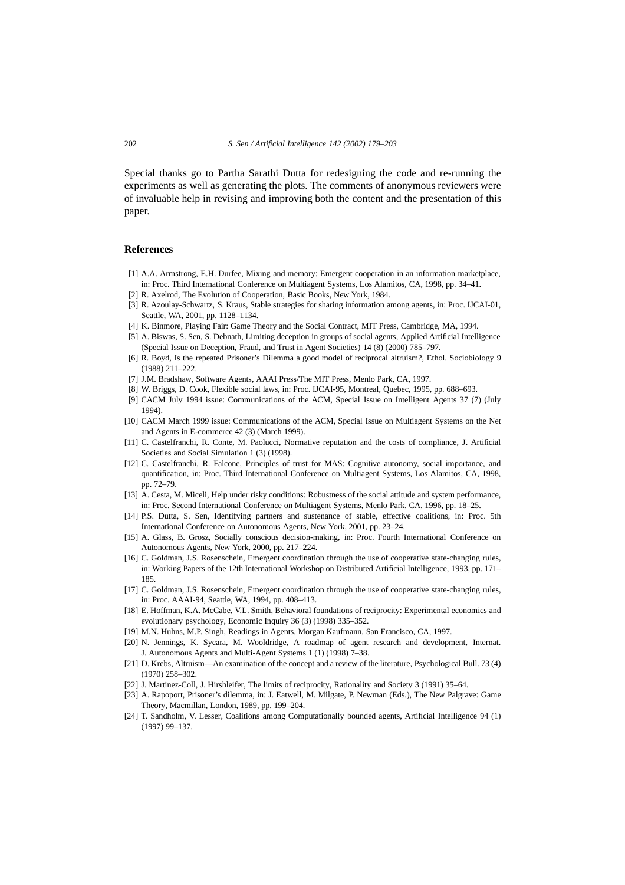Special thanks go to Partha Sarathi Dutta for redesigning the code and re-running the experiments as well as generating the plots. The comments of anonymous reviewers were of invaluable help in revising and improving both the content and the presentation of this paper.

#### **References**

- [1] A.A. Armstrong, E.H. Durfee, Mixing and memory: Emergent cooperation in an information marketplace, in: Proc. Third International Conference on Multiagent Systems, Los Alamitos, CA, 1998, pp. 34–41.
- [2] R. Axelrod, The Evolution of Cooperation, Basic Books, New York, 1984.
- [3] R. Azoulay-Schwartz, S. Kraus, Stable strategies for sharing information among agents, in: Proc. IJCAI-01, Seattle, WA, 2001, pp. 1128–1134.
- [4] K. Binmore, Playing Fair: Game Theory and the Social Contract, MIT Press, Cambridge, MA, 1994.
- [5] A. Biswas, S. Sen, S. Debnath, Limiting deception in groups of social agents, Applied Artificial Intelligence (Special Issue on Deception, Fraud, and Trust in Agent Societies) 14 (8) (2000) 785–797.
- [6] R. Boyd, Is the repeated Prisoner's Dilemma a good model of reciprocal altruism?, Ethol. Sociobiology 9 (1988) 211–222.
- [7] J.M. Bradshaw, Software Agents, AAAI Press/The MIT Press, Menlo Park, CA, 1997.
- [8] W. Briggs, D. Cook, Flexible social laws, in: Proc. IJCAI-95, Montreal, Quebec, 1995, pp. 688–693.
- [9] CACM July 1994 issue: Communications of the ACM, Special Issue on Intelligent Agents 37 (7) (July 1994).
- [10] CACM March 1999 issue: Communications of the ACM, Special Issue on Multiagent Systems on the Net and Agents in E-commerce 42 (3) (March 1999).
- [11] C. Castelfranchi, R. Conte, M. Paolucci, Normative reputation and the costs of compliance, J. Artificial Societies and Social Simulation 1 (3) (1998).
- [12] C. Castelfranchi, R. Falcone, Principles of trust for MAS: Cognitive autonomy, social importance, and quantification, in: Proc. Third International Conference on Multiagent Systems, Los Alamitos, CA, 1998, pp. 72–79.
- [13] A. Cesta, M. Miceli, Help under risky conditions: Robustness of the social attitude and system performance, in: Proc. Second International Conference on Multiagent Systems, Menlo Park, CA, 1996, pp. 18–25.
- [14] P.S. Dutta, S. Sen, Identifying partners and sustenance of stable, effective coalitions, in: Proc. 5th International Conference on Autonomous Agents, New York, 2001, pp. 23–24.
- [15] A. Glass, B. Grosz, Socially conscious decision-making, in: Proc. Fourth International Conference on Autonomous Agents, New York, 2000, pp. 217–224.
- [16] C. Goldman, J.S. Rosenschein, Emergent coordination through the use of cooperative state-changing rules, in: Working Papers of the 12th International Workshop on Distributed Artificial Intelligence, 1993, pp. 171– 185.
- [17] C. Goldman, J.S. Rosenschein, Emergent coordination through the use of cooperative state-changing rules, in: Proc. AAAI-94, Seattle, WA, 1994, pp. 408–413.
- [18] E. Hoffman, K.A. McCabe, V.L. Smith, Behavioral foundations of reciprocity: Experimental economics and evolutionary psychology, Economic Inquiry 36 (3) (1998) 335–352.
- [19] M.N. Huhns, M.P. Singh, Readings in Agents, Morgan Kaufmann, San Francisco, CA, 1997.
- [20] N. Jennings, K. Sycara, M. Wooldridge, A roadmap of agent research and development, Internat. J. Autonomous Agents and Multi-Agent Systems 1 (1) (1998) 7–38.
- [21] D. Krebs, Altruism—An examination of the concept and a review of the literature, Psychological Bull. 73 (4) (1970) 258–302.
- [22] J. Martinez-Coll, J. Hirshleifer, The limits of reciprocity, Rationality and Society 3 (1991) 35–64.
- [23] A. Rapoport, Prisoner's dilemma, in: J. Eatwell, M. Milgate, P. Newman (Eds.), The New Palgrave: Game Theory, Macmillan, London, 1989, pp. 199–204.
- [24] T. Sandholm, V. Lesser, Coalitions among Computationally bounded agents, Artificial Intelligence 94 (1) (1997) 99–137.